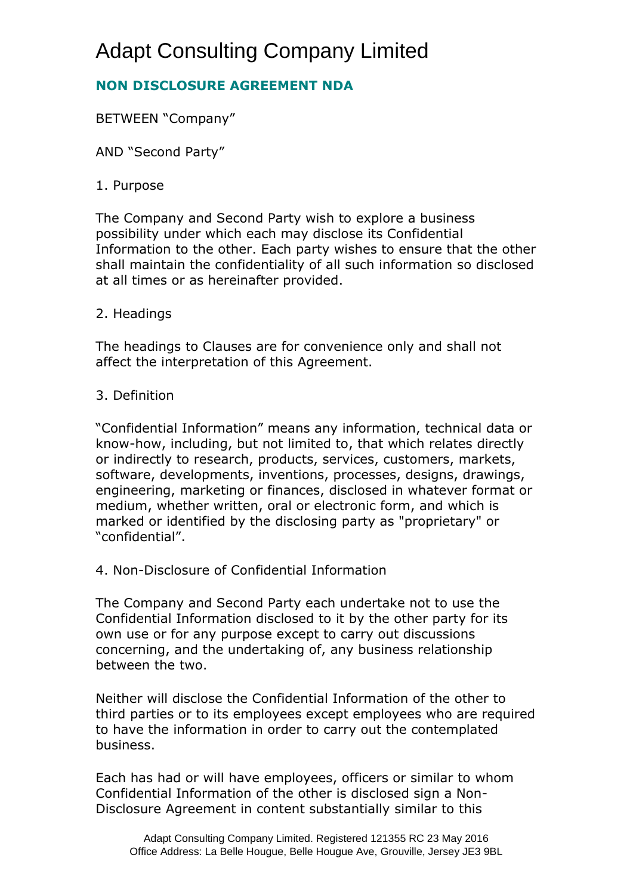# Adapt Consulting Company Limited

# **NON DISCLOSURE AGREEMENT NDA**

BETWEEN "Company"

AND "Second Party"

# 1. Purpose

The Company and Second Party wish to explore a business possibility under which each may disclose its Confidential Information to the other. Each party wishes to ensure that the other shall maintain the confidentiality of all such information so disclosed at all times or as hereinafter provided.

# 2. Headings

The headings to Clauses are for convenience only and shall not affect the interpretation of this Agreement.

# 3. Definition

"Confidential Information" means any information, technical data or know-how, including, but not limited to, that which relates directly or indirectly to research, products, services, customers, markets, software, developments, inventions, processes, designs, drawings, engineering, marketing or finances, disclosed in whatever format or medium, whether written, oral or electronic form, and which is marked or identified by the disclosing party as "proprietary" or "confidential".

4. Non-Disclosure of Confidential Information

The Company and Second Party each undertake not to use the Confidential Information disclosed to it by the other party for its own use or for any purpose except to carry out discussions concerning, and the undertaking of, any business relationship between the two.

Neither will disclose the Confidential Information of the other to third parties or to its employees except employees who are required to have the information in order to carry out the contemplated business.

Each has had or will have employees, officers or similar to whom Confidential Information of the other is disclosed sign a Non-Disclosure Agreement in content substantially similar to this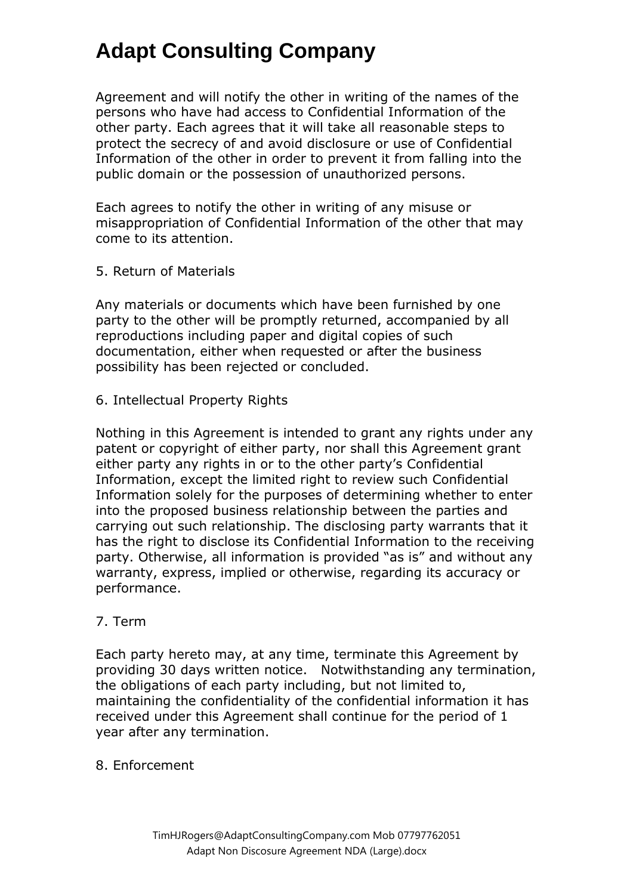# **Adapt Consulting Company**

Agreement and will notify the other in writing of the names of the persons who have had access to Confidential Information of the other party. Each agrees that it will take all reasonable steps to protect the secrecy of and avoid disclosure or use of Confidential Information of the other in order to prevent it from falling into the public domain or the possession of unauthorized persons.

Each agrees to notify the other in writing of any misuse or misappropriation of Confidential Information of the other that may come to its attention.

5. Return of Materials

Any materials or documents which have been furnished by one party to the other will be promptly returned, accompanied by all reproductions including paper and digital copies of such documentation, either when requested or after the business possibility has been rejected or concluded.

6. Intellectual Property Rights

Nothing in this Agreement is intended to grant any rights under any patent or copyright of either party, nor shall this Agreement grant either party any rights in or to the other party's Confidential Information, except the limited right to review such Confidential Information solely for the purposes of determining whether to enter into the proposed business relationship between the parties and carrying out such relationship. The disclosing party warrants that it has the right to disclose its Confidential Information to the receiving party. Otherwise, all information is provided "as is" and without any warranty, express, implied or otherwise, regarding its accuracy or performance.

# 7. Term

Each party hereto may, at any time, terminate this Agreement by providing 30 days written notice. Notwithstanding any termination, the obligations of each party including, but not limited to, maintaining the confidentiality of the confidential information it has received under this Agreement shall continue for the period of 1 year after any termination.

# 8. Enforcement